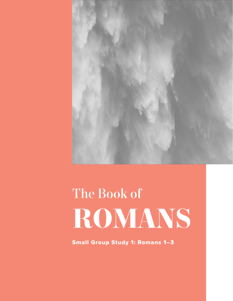

# The Book of **ROMANS**

Small Group Study 1: Romans 1–3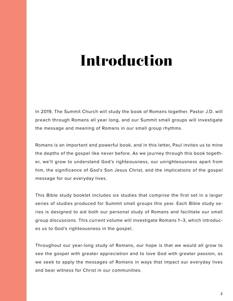## **Introduction**

In 2019, The Summit Church will study the book of Romans together. Pastor J.D. will preach through Romans all year long, and our Summit small groups will investigate the message and meaning of Romans in our small group rhythms.

Romans is an important and powerful book, and in this letter, Paul invites us to mine the depths of the gospel like never before. As we journey through this book together, we'll grow to understand God's righteousness, our unrighteousness apart from him, the significance of God's Son Jesus Christ, and the implications of the gospel message for our everyday lives.

This Bible study booklet includes six studies that comprise the first set in a larger series of studies produced for Summit small groups this year. Each Bible study series is designed to aid both our personal study of Romans and facilitate our small group discussions. This current volume will investigate Romans 1–3, which introduces us to God's righteousness in the gospel.

Throughout our year-long study of Romans, our hope is that we would all grow to see the gospel with greater appreciation and to love God with greater passion, as we seek to apply the messages of Romans in ways that impact our everyday lives and bear witness for Christ in our communities.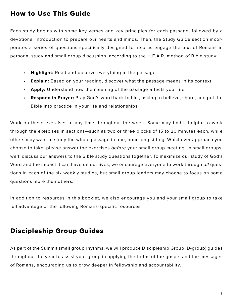### How to Use This Guide

Each study begins with some key verses and key principles for each passage, followed by a devotional introduction to prepare our hearts and minds. Then, the Study Guide section incorporates a series of questions specifically designed to help us engage the text of Romans in personal study and small group discussion, according to the H.E.A.R. method of Bible study:

- **• Highlight:** Read and observe everything in the passage.
- **• Explain:** Based on your reading, discover what the passage means in its context.
- **• Apply:** Understand how the meaning of the passage affects your life.
- **• Respond in Prayer:** Pray God's word back to him, asking to believe, share, and put the Bible into practice in your life and relationships.

Work on these exercises at any time throughout the week. Some may find it helpful to work through the exercises in sections—such as two or three blocks of 15 to 20 minutes each, while others may want to study the whole passage in one, hour-long sitting. Whichever approach you choose to take, please answer the exercises *before* your small group meeting. In small groups, we'll discuss our answers to the Bible study questions together. To maximize our study of God's Word and the impact it can have on our lives, we encourage everyone to work through *all* questions in each of the six weekly studies, but small group leaders may choose to focus on some questions more than others.

In addition to resources in this booklet, we also encourage you and your small group to take full advantage of the following Romans-specific resources.

### Discipleship Group Guides

As part of the Summit small group rhythms, we will produce Discipleship Group (D-group) guides throughout the year to assist your group in applying the truths of the gospel and the messages of Romans, encouraging us to grow deeper in fellowship and accountability.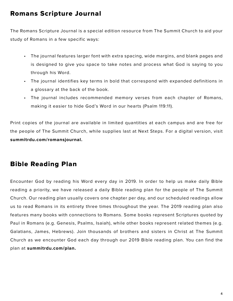### Romans Scripture Journal

The Romans Scripture Journal is a special edition resource from The Summit Church to aid your study of Romans in a few specific ways:

- The journal features larger font with extra spacing, wide margins, and blank pages and is designed to give you space to take notes and process what God is saying to you through his Word.
- The journal identifies key terms in bold that correspond with expanded definitions in a glossary at the back of the book.
- The journal includes recommended memory verses from each chapter of Romans, making it easier to hide God's Word in our hearts (Psalm 119:11).

Print copies of the journal are available in limited quantities at each campus and are free for the people of The Summit Church, while supplies last at Next Steps. For a digital version, visit **summitrdu.com/romansjournal.**

### Bible Reading Plan

Encounter God by reading his Word every day in 2019. In order to help us make daily Bible reading a priority, we have released a daily Bible reading plan for the people of The Summit Church. Our reading plan usually covers one chapter per day, and our scheduled readings allow us to read Romans in its entirety three times throughout the year. The 2019 reading plan also features many books with connections to Romans. Some books represent Scriptures quoted by Paul in Romans (e.g. Genesis, Psalms, Isaiah), while other books represent related themes (e.g. Galatians, James, Hebrews). Join thousands of brothers and sisters in Christ at The Summit Church as we encounter God each day through our 2019 Bible reading plan. You can find the plan at **summitrdu.com/plan.**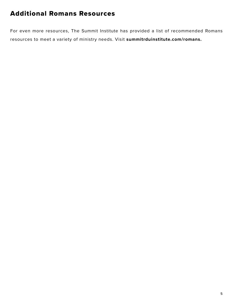### Additional Romans Resources

For even more resources, The Summit Institute has provided a list of recommended Romans resources to meet a variety of ministry needs. Visit **summitrduinstitute.com/romans.**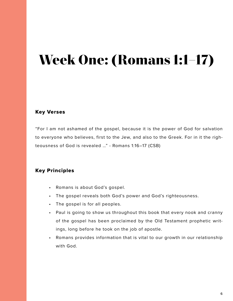## **Week One: (Romans 1:1–17)**

### Key Verses

"For I am not ashamed of the gospel, because it is the power of God for salvation to everyone who believes, first to the Jew, and also to the Greek. For in it the righteousness of God is revealed …" - Romans 1:16–17 (CSB)

### Key Principles

- Romans is about God's gospel.
- The gospel reveals both God's power and God's righteousness.
- The gospel is for all peoples.
- Paul is going to show us throughout this book that every nook and cranny of the gospel has been proclaimed by the Old Testament prophetic writings, long before he took on the job of apostle.
- Romans provides information that is vital to our growth in our relationship with God.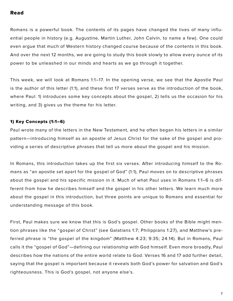#### Read

Romans is a powerful book. The contents of its pages have changed the lives of many influential people in history (e.g. Augustine, Martin Luther, John Calvin, to name a few). One could even argue that much of Western history changed course because of the contents in this book. And over the next 12 months, we are going to study this book slowly to allow every ounce of its power to be unleashed in our minds and hearts as we go through it together.

This week, we will look at Romans 1:1–17. In the opening verse, we see that the Apostle Paul is the author of this letter (1:1), and these first 17 verses serve as the introduction of the book, where Paul: 1) introduces some key concepts about the gospel, 2) tells us the occasion for his writing, and 3) gives us the theme for his letter.

#### 1) Key Concepts (1:1–6)

Paul wrote many of the letters in the New Testament, and he often began his letters in a similar pattern—introducing himself as an apostle of Jesus Christ for the sake of the gospel and providing a series of descriptive phrases that tell us more about the gospel and his mission.

In Romans, this introduction takes up the first six verses. After introducing himself to the Romans as "an apostle set apart for the gospel of God" (1:1), Paul moves on to descriptive phrases about the gospel and his specific mission in it. Much of what Paul uses in Romans 1:1–6 is different from how he describes himself and the gospel in his other letters. We learn much more about the gospel in this introduction, but three points are unique to Romans and essential for understanding message of this book.

First, Paul makes sure we know that this is God's gospel. Other books of the Bible might mention phrases like the "gospel of Christ" (see Galatians 1:7; Philippians 1:27), and Matthew's preferred phrase is "the gospel of the kingdom" (Matthew 4:23; 9:35; 24:14). But in Romans, Paul calls it the "gospel of God"—defining our relationship with God himself. Even more broadly, Paul describes how the nations of the entire world relate to God. Verses 16 and 17 add further detail, saying that the gospel is important because it reveals both God's power for salvation and God's righteousness. This is God's gospel, not anyone else's.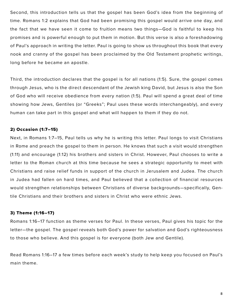Second, this introduction tells us that the gospel has been God's idea from the beginning of time. Romans 1:2 explains that God had been promising this gospel would arrive one day, and the fact that we have seen it come to fruition means two things—God is faithful to keep his promises and is powerful enough to put them in motion. But this verse is also a foreshadowing of Paul's approach in writing the letter. Paul is going to show us throughout this book that every nook and cranny of the gospel has been proclaimed by the Old Testament prophetic writings, long before he became an apostle.

Third, the introduction declares that the gospel is for all nations (1:5). Sure, the gospel comes through Jesus, who is the direct descendant of the Jewish king David, but Jesus is also the Son of God who will receive obedience from every nation (1:5). Paul will spend a great deal of time showing how Jews, Gentiles (or "Greeks"; Paul uses these words interchangeably), and every human can take part in this gospel and what will happen to them if they do not.

#### 2) Occasion (1:7–15)

Next, in Romans 1:7–15, Paul tells us why he is writing this letter. Paul longs to visit Christians in Rome and preach the gospel to them in person. He knows that such a visit would strengthen (1:11) and encourage (1:12) his brothers and sisters in Christ. However, Paul chooses to write a letter to the Roman church at this time because he sees a strategic opportunity to meet with Christians and raise relief funds in support of the church in Jerusalem and Judea. The church in Judea had fallen on hard times, and Paul believed that a collection of financial resources would strengthen relationships between Christians of diverse backgrounds—specifically, Gentile Christians and their brothers and sisters in Christ who were ethnic Jews.

#### 3) Theme (1:16–17)

Romans 1:16–17 function as theme verses for Paul. In these verses, Paul gives his topic for the letter—the gospel. The gospel reveals both God's power for salvation and God's righteousness to those who believe. And this gospel is for everyone (both Jew and Gentile).

Read Romans 1:16–17 a few times before each week's study to help keep you focused on Paul's main theme.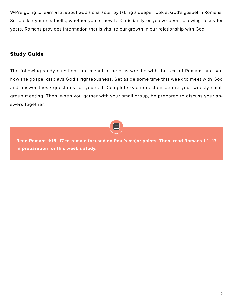We're going to learn a lot about God's character by taking a deeper look at God's gospel in Romans. So, buckle your seatbelts, whether you're new to Christianity or you've been following Jesus for years, Romans provides information that is vital to our growth in our relationship with God.

### Study Guide

The following study questions are meant to help us wrestle with the text of Romans and see how the gospel displays God's righteousness. Set aside some time this week to meet with God and answer these questions for yourself. Complete each question before your weekly small group meeting. Then, when you gather with your small group, be prepared to discuss your answers together.



**Read Romans 1:16–17 to remain focused on Paul's major points. Then, read Romans 1:1–17 in preparation for this week's study.**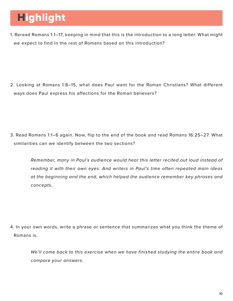### **Highlight**

1. Reread Romans 1:1–17, keeping in mind that this is the introduction to a long letter. What might we expect to find in the rest of Romans based on this introduction?

2. Looking at Romans 1:8–15, what does Paul want for the Roman Christians? What different ways does Paul express his affections for the Roman believers?

3. Read Romans 1:1–6 again. Now, flip to the end of the book and read Romans 16:25–27. What similarities can we identify between the two sections?

*Remember, many in Paul's audience would hear this letter recited out loud instead of reading it with their own eyes. And writers in Paul's time often repeated main ideas at the beginning and the end, which helped the audience remember key phrases and concepts.* 

4. In your own words, write a phrase or sentence that summarizes what you think the theme of Romans is.

*We'll come back to this exercise when we have finished studying the entire book and compare your answers.*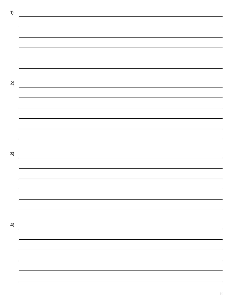**1) 2)** <u> 1989 - Andrea Santa Andrea Andrea Andrea Andrea Andrea Andrea Andrea Andrea Andrea Andrea Andrea Andrea Andr</u> **3) 4)**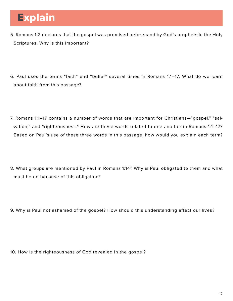### **Explain**

- 5. Romans 1:2 declares that the gospel was promised beforehand by God's prophets in the Holy Scriptures. Why is this important?
- 6. Paul uses the terms "faith" and "belief" several times in Romans 1:1–17. What do we learn about faith from this passage?
- 7. Romans 1:1–17 contains a number of words that are important for Christians—"gospel," "salvation," and "righteousness." How are these words related to one another in Romans 1:1–17? Based on Paul's use of these three words in this passage, how would you explain each term?
- 8. What groups are mentioned by Paul in Romans 1:14? Why is Paul obligated to them and what must he do because of this obligation?
- 9. Why is Paul not ashamed of the gospel? How should this understanding affect our lives?

10. How is the righteousness of God revealed in the gospel?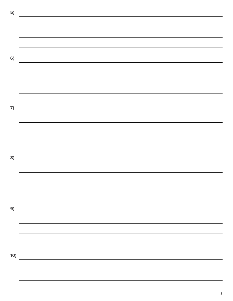**5) 6)** <u> 1989 - Johann Stein, marwolaethau a bhann an chomhair an chomhair an chomhair an chomhair an chomhair an chom</u> **7) 8)** <u> 1989 - Johann Barn, mars ann an t-Amhain Aonaich an t-Aonaich an t-Aonaich ann an t-Aonaich ann an t-Aonaich</u> **9)** <u> 1980 - Johann Stoff, deutscher Stoff, der Stoff, der Stoff, der Stoff, der Stoff, der Stoff, der Stoff, der S</u> **10)**

13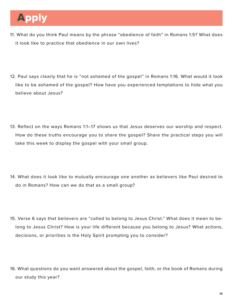### Apply

- 11. What do you think Paul means by the phrase "obedience of faith" in Romans 1:5? What does it look like to practice that obedience in our own lives?
- 12. Paul says clearly that he is "not ashamed of the gospel" in Romans 1:16. What would it look like to be ashamed of the gospel? How have you experienced temptations to hide what you believe about Jesus?
- 13. Reflect on the ways Romans 1:1–17 shows us that Jesus deserves our worship and respect. How do these truths encourage you to share the gospel? Share the practical steps you will take this week to display the gospel with your small group.
- 14. What does it look like to mutually encourage one another as believers like Paul desired to do in Romans? How can we do that as a small group?
- 15. Verse 6 says that believers are "called to belong to Jesus Christ." What does it mean to belong to Jesus Christ? How is your life different because you belong to Jesus? What actions, decisions, or priorities is the Holy Spirit prompting you to consider?
- 16. What questions do you want answered about the gospel, faith, or the book of Romans during our study this year?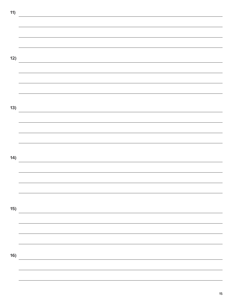| 11) | the contract of the contract of the contract of the contract of the contract of the contract of |
|-----|-------------------------------------------------------------------------------------------------|
|     |                                                                                                 |
|     |                                                                                                 |
|     |                                                                                                 |
|     |                                                                                                 |
|     |                                                                                                 |
| 12) |                                                                                                 |
|     | the control of the control of the control of the control of the control of the control of       |
|     |                                                                                                 |
|     |                                                                                                 |
|     |                                                                                                 |
|     |                                                                                                 |
|     |                                                                                                 |
| 13) |                                                                                                 |
|     |                                                                                                 |
|     |                                                                                                 |
|     |                                                                                                 |
|     |                                                                                                 |
|     |                                                                                                 |
|     |                                                                                                 |
| 14) |                                                                                                 |
|     |                                                                                                 |
|     |                                                                                                 |
|     |                                                                                                 |
|     |                                                                                                 |
|     |                                                                                                 |
|     |                                                                                                 |
| 15) |                                                                                                 |
|     |                                                                                                 |
|     |                                                                                                 |
|     |                                                                                                 |
|     |                                                                                                 |
|     |                                                                                                 |
| 16) |                                                                                                 |
|     |                                                                                                 |
|     |                                                                                                 |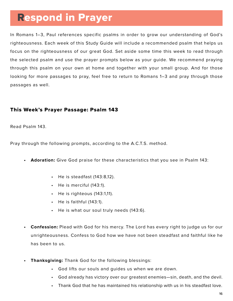### Respond in Prayer

In Romans 1–3, Paul references specific psalms in order to grow our understanding of God's righteousness. Each week of this Study Guide will include a recommended psalm that helps us focus on the righteousness of our great God. Set aside some time this week to read through the selected psalm and use the prayer prompts below as your guide. We recommend praying through this psalm on your own at home and together with your small group. And for those looking for more passages to pray, feel free to return to Romans 1–3 and pray through those passages as well.

### This Week's Prayer Passage: Psalm 143

Read Psalm 143.

Pray through the following prompts, according to the A.C.T.S. method.

- **• Adoration:** Give God praise for these characteristics that you see in Psalm 143:
	- He is steadfast (143:8,12).
	- He is merciful (143:1).
	- He is righteous (143:1,11).
	- He is faithful (143:1).
	- He is what our soul truly needs (143:6).
- **• Confession:** Plead with God for his mercy. The Lord has every right to judge us for our unrighteousness. Confess to God how we have not been steadfast and faithful like he has been to us.
- **• Thanksgiving:** Thank God for the following blessings:
	- God lifts our souls and guides us when we are down.
	- God already has victory over our greatest enemies—sin, death, and the devil.
	- Thank God that he has maintained his relationship with us in his steadfast love.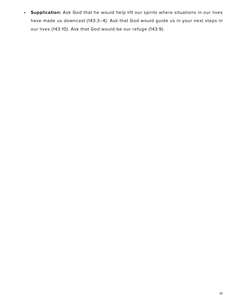**• Supplication:** Ask God that he would help lift our spirits where situations in our lives have made us downcast (143:3–4). Ask that God would guide us in your next steps in our lives (143:10). Ask that God would be our refuge (143:9).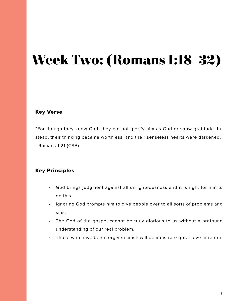## **Week Two: (Romans 1:18–32)**

### Key Verse

"For though they knew God, they did not glorify him as God or show gratitude. Instead, their thinking became worthless, and their senseless hearts were darkened." - Romans 1:21 (CSB)

### Key Principles

- God brings judgment against all unrighteousness and it is right for him to do this.
- Ignoring God prompts him to give people over to all sorts of problems and sins.
- The God of the gospel cannot be truly glorious to us without a profound understanding of our real problem.
- Those who have been forgiven much will demonstrate great love in return.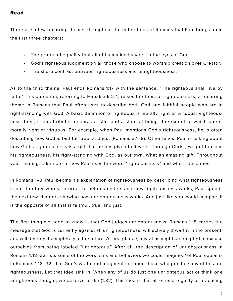#### Read

There are a few recurring themes throughout the entire book of Romans that Paul brings up in the first three chapters:

- The profound equality that all of humankind shares in the eyes of God.
- God's righteous judgment on all those who choose to worship creation over Creator.
- The sharp contrast between righteousness and unrighteousness.

As to the third theme, Paul ends Romans 1:17 with the sentence, "The righteous shall live by faith." This quotation, referring to Habakkuk 2:4, raises the topic of righteousness, a recurring theme in Romans that Paul often uses to describe both God and faithful people who are in right-standing with God. A basic definition of righteous is morally right or virtuous. Righteousness, then, is an attribute, a characteristic, and a state of being—the extent to which one is morally right or virtuous. For example, when Paul mentions God's righteousness, he is often describing how God is faithful, true, and just (Romans 3:1–8). Other times, Paul is talking about how God's righteousness is a gift that he has given believers. Through Christ, we get to claim his righteousness, his right-standing with God, as our own. What an amazing gift! Throughout your reading, take note of how Paul uses the word "righteousness" and who it describes.

In Romans 1–3, Paul begins his explanation of righteousness by describing what righteousness is not. In other words, in order to help us understand how righteousness works, Paul spends the next few chapters showing how unrighteousness works. And just like you would imagine, it is the opposite of all that is faithful, true, and just.

The first thing we need to know is that God judges unrighteousness. Romans 1:18 carries the message that God is currently against all unrighteousness, will actively thwart it in the present, and will destroy it completely in the future. At first glance, any of us might be tempted to excuse ourselves from being labeled "unrighteous." After all, the description of unrighteousness in Romans 1:18–32 lists some of the worst sins and behaviors we could imagine. Yet Paul explains in Romans 1:18–32, that God's wrath and judgment fall upon those who practice any of this unrighteousness. Let that idea sink in. When any of us do just one unrighteous act or think one unrighteous thought, we deserve to die (1:32). This means that all of us are guilty of practicing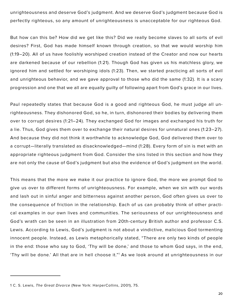unrighteousness and deserve God's judgment. And we deserve God's judgment because God is perfectly righteous, so any amount of unrighteousness is unacceptable for our righteous God.

But how can this be? How did we get like this? Did we really become slaves to all sorts of evil desires? First, God has made himself known through creation, so that we would worship him (1:19–20). All of us have foolishly worshiped creation instead of the Creator and now our hearts are darkened because of our rebellion (1:21). Though God has given us his matchless glory, we ignored him and settled for worshiping idols (1:23). Then, we started practicing all sorts of evil and unrighteous behavior, and we gave approval to those who did the same (1:32). It is a scary progression and one that we all are equally guilty of following apart from God's grace in our lives.

Paul repeatedly states that because God is a good and righteous God, he must judge all unrighteousness. They dishonored God, so he, in turn, dishonored their bodies by delivering them over to corrupt desires (1:21–24). They exchanged God for images and exchanged his truth for a lie. Thus, God gives them over to exchange their natural desires for unnatural ones (1:23–27). And because they did not think it worthwhile to acknowledge God, God delivered them over to a corrupt—literally translated as disacknowledged—mind (1:28). Every form of sin is met with an appropriate righteous judgment from God. Consider the sins listed in this section and how they are not only the cause of God's judgment but also the evidence of God's judgment on the world.

This means that the more we make it our practice to ignore God, the more we prompt God to give us over to different forms of unrighteousness. For example, when we sin with our words and lash out in sinful anger and bitterness against another person, God often gives us over to the consequence of friction in the relationship. Each of us can probably think of other practical examples in our own lives and communities. The seriousness of our unrighteousness and God's wrath can be seen in an illustration from 20th-century British author and professor C.S. Lewis. According to Lewis, God's judgment is not about a vindictive, malicious God tormenting innocent people. Instead, as Lewis metaphorically stated, "There are only two kinds of people in the end: those who say to God, 'Thy will be done,' and those to whom God says, in the end, 'Thy will be done.' All that are in hell choose it."1 As we look around at unrighteousness in our

<sup>1</sup> C. S. Lewis, *The Great Divorce* (New York: HarperCollins, 2001), 75.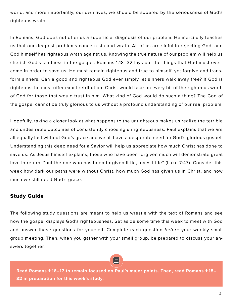world, and more importantly, our own lives, we should be sobered by the seriousness of God's righteous wrath.

In Romans, God does not offer us a superficial diagnosis of our problem. He mercifully teaches us that our deepest problems concern sin and wrath. All of us are sinful in rejecting God, and God himself has righteous wrath against us. Knowing the true nature of our problem will help us cherish God's kindness in the gospel. Romans 1:18–32 lays out the things that God must overcome in order to save us. He must remain righteous and true to himself, yet forgive and transform sinners. Can a good and righteous God ever simply let sinners walk away free? If God is righteous, he must offer exact retribution. Christ would take on every bit of the righteous wrath of God for those that would trust in him. What kind of God would do such a thing? The God of the gospel cannot be truly glorious to us without a profound understanding of our real problem.

Hopefully, taking a closer look at what happens to the unrighteous makes us realize the terrible and undesirable outcomes of consistently choosing unrighteousness. Paul explains that we are all equally lost without God's grace and we all have a desperate need for God's glorious gospel. Understanding this deep need for a Savior will help us appreciate how much Christ has done to save us. As Jesus himself explains, those who have been forgiven much will demonstrate great love in return; "but the one who has been forgiven little, loves little" (Luke 7:47). Consider this week how dark our paths were without Christ, how much God has given us in Christ, and how much we still need God's grace.

### Study Guide

The following study questions are meant to help us wrestle with the text of Romans and see how the gospel displays God's righteousness. Set aside some time this week to meet with God and answer these questions for yourself. Complete each question *before* your weekly small group meeting. Then, when you gather with your small group, be prepared to discuss your answers together.

**Read Romans 1:16–17 to remain focused on Paul's major points. Then, read Romans 1:18– 32 in preparation for this week's study.**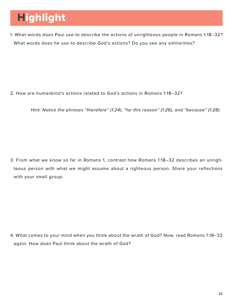### Highlight

1. What words does Paul use to describe the actions of unrighteous people in Romans 1:18–32? What words does he use to describe God's actions? Do you see any similarities?

2. How are humankind's actions related to God's actions in Romans 1:18–32?

*Hint: Notice the phrases "therefore" (1:24), "for this reason" (1:26), and "because" (1:28).*

3. From what we know so far in Romans 1, contrast how Romans 1:18–32 describes an unrighteous person with what we might assume about a righteous person. Share your reflections with your small group.

4. What comes to your mind when you think about the wrath of God? Now, read Romans 1:18–32 again. How does Paul think about the wrath of God?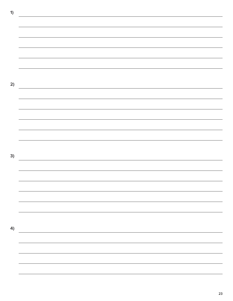**1) 2) 3)** <u> 1989 - Andrea Santa Andrea Andrea Andrea Andrea Andrea Andrea Andrea Andrea Andrea Andrea Andrea Andrea Andr</u> **4)**

23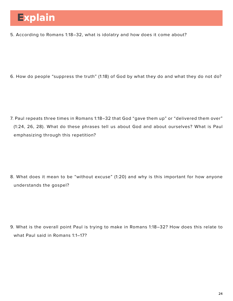5. According to Romans 1:18–32, what is idolatry and how does it come about?

6. How do people "suppress the truth" (1:18) of God by what they do and what they do not do?

7. Paul repeats three times in Romans 1:18–32 that God "gave them up" or "delivered them over" (1:24, 26, 28). What do these phrases tell us about God and about ourselves? What is Paul emphasizing through this repetition?

8. What does it mean to be "without excuse" (1:20) and why is this important for how anyone understands the gospel?

9. What is the overall point Paul is trying to make in Romans 1:18–32? How does this relate to what Paul said in Romans 1:1–17?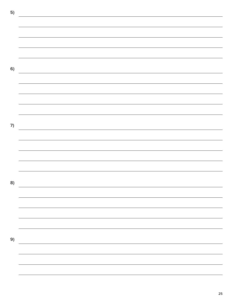**5) 6) 7)** <u> 1980 - Johann Barbara, martxa alemaniar arg</u> **8)** <u> 1989 - Johann Barn, mars ann an t-Amhain Aonaich an t-Aonaich an t-Aonaich ann an t-Aonaich ann an t-Aonaich</u> **9)**<u> 1989 - Andrea Station Barbara, actor a component de la componentación de la componentación de la componentaci</u>

25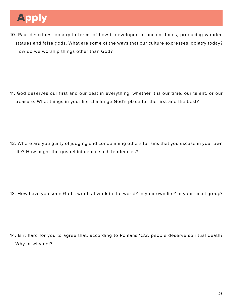### Apply

10. Paul describes idolatry in terms of how it developed in ancient times, producing wooden statues and false gods. What are some of the ways that our culture expresses idolatry today? How do we worship things other than God?

11. God deserves our first and our best in everything, whether it is our time, our talent, or our treasure. What things in your life challenge God's place for the first and the best?

12. Where are you guilty of judging and condemning others for sins that you excuse in your own life? How might the gospel influence such tendencies?

13. How have you seen God's wrath at work in the world? In your own life? In your small group?

14. Is it hard for you to agree that, according to Romans 1:32, people deserve spiritual death? Why or why not?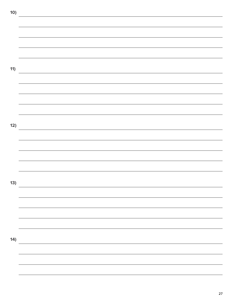**10) 11) 12) 13) 14)**<u> 1989 - Johann Barn, amerikansk politiker (d. 1989)</u>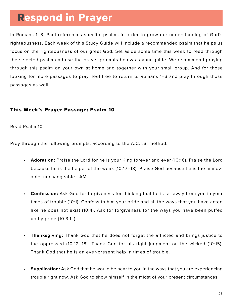### Respond in Prayer

In Romans 1–3, Paul references specific psalms in order to grow our understanding of God's righteousness. Each week of this Study Guide will include a recommended psalm that helps us focus on the righteousness of our great God. Set aside some time this week to read through the selected psalm and use the prayer prompts below as your guide. We recommend praying through this psalm on your own at home and together with your small group. And for those looking for more passages to pray, feel free to return to Romans 1–3 and pray through those passages as well.

### This Week's Prayer Passage: Psalm 10

Read Psalm 10.

Pray through the following prompts, according to the A.C.T.S. method.

- **• Adoration:** Praise the Lord for he is your King forever and ever (10:16). Praise the Lord because he is the helper of the weak (10:17–18). Praise God because he is the immovable, unchangeable I AM.
- **• Confession:** Ask God for forgiveness for thinking that he is far away from you in your times of trouble (10:1). Confess to him your pride and all the ways that you have acted like he does not exist (10:4). Ask for forgiveness for the ways you have been puffed up by pride (10:3 ff.).
- **• Thanksgiving:** Thank God that he does not forget the afflicted and brings justice to the oppressed (10:12–18). Thank God for his right judgment on the wicked (10:15). Thank God that he is an ever-present help in times of trouble.
- **• Supplication:** Ask God that he would be near to you in the ways that you are experiencing trouble right now. Ask God to show himself in the midst of your present circumstances.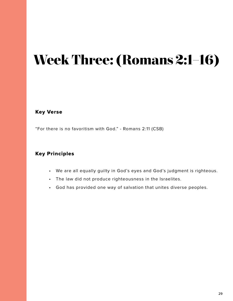## **Week Three: (Romans 2:1–16)**

Key Verse

"For there is no favoritism with God." - Romans 2:11 (CSB)

### Key Principles

- We are all equally guilty in God's eyes and God's judgment is righteous.
- The law did not produce righteousness in the Israelites.
- God has provided one way of salvation that unites diverse peoples.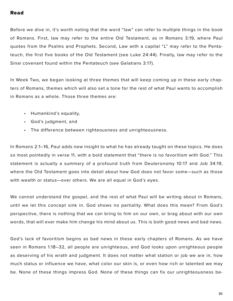### Read

Before we dive in, it's worth noting that the word "law" can refer to multiple things in the book of Romans. First, law may refer to the entire Old Testament, as in Romans 3:19, where Paul quotes from the Psalms and Prophets. Second, Law with a capital "L" may refer to the Pentateuch, the first five books of the Old Testament (see Luke 24:44). Finally, law may refer to the Sinai covenant found within the Pentateuch (see Galatians 3:17).

In Week Two, we began looking at three themes that will keep coming up in these early chapters of Romans, themes which will also set a tone for the rest of what Paul wants to accomplish in Romans as a whole. Those three themes are:

- Humankind's equality,
- God's judgment, and
- The difference between righteousness and unrighteousness.

In Romans 2:1–16, Paul adds new insight to what he has already taught on these topics. He does so most pointedly in verse 11, with a bold statement that "there is no favoritism with God." This statement is actually a summary of a profound truth from Deuteronomy 10:17 and Job 34:19, where the Old Testament goes into detail about how God does not favor some—such as those with wealth or status—over others. We are all equal in God's eyes.

We cannot understand the gospel, and the rest of what Paul will be writing about in Romans, until we let this concept sink in. God shows no partiality. What does this mean? From God's perspective, there is nothing that we can bring to him on our own, or brag about with our own words, that will ever make him change his mind about us. This is both good news and bad news.

God's lack of favoritism begins as bad news in these early chapters of Romans. As we have seen in Romans 1:18–32, all people are unrighteous, and God looks upon unrighteous people as deserving of his wrath and judgment. It does not matter what station or job we are in, how much status or influence we have, what color our skin is, or even how rich or talented we may be. None of these things impress God. None of these things can fix our unrighteousness be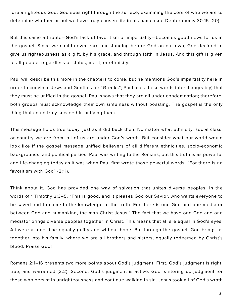fore a righteous God. God sees right through the surface, examining the core of who we are to determine whether or not we have truly chosen life in his name (see Deuteronomy 30:15–20).

But this same attribute—God's lack of favoritism or impartiality—becomes good news for us in the gospel. Since we could never earn our standing before God on our own, God decided to give us righteousness as a gift, by his grace, and through faith in Jesus. And this gift is given to all people, regardless of status, merit, or ethnicity.

Paul will describe this more in the chapters to come, but he mentions God's impartiality here in order to convince Jews and Gentiles (or "Greeks"; Paul uses these words interchangeably) that they must be unified in the gospel. Paul shows that they are all under condemnation; therefore, both groups must acknowledge their own sinfulness without boasting. The gospel is the only thing that could truly succeed in unifying them.

This message holds true today, just as it did back then. No matter what ethnicity, social class, or country we are from, all of us are under God's wrath. But consider what our world would look like if the gospel message unified believers of all different ethnicities, socio-economic backgrounds, and political parties. Paul was writing to the Romans, but this truth is as powerful and life-changing today as it was when Paul first wrote those powerful words, "For there is no favoritism with God" (2:11).

Think about it. God has provided one way of salvation that unites diverse peoples. In the words of 1 Timothy 2:3–5, "This is good, and it pleases God our Savior, who wants everyone to be saved and to come to the knowledge of the truth. For there is one God and one mediator between God and humankind, the man Christ Jesus." The fact that we have one God and one mediator brings diverse peoples together in Christ. This means that all are equal in God's eyes. All were at one time equally guilty and without hope. But through the gospel, God brings us together into his family, where we are all brothers and sisters, equally redeemed by Christ's blood. Praise God!

Romans 2:1–16 presents two more points about God's judgment. First, God's judgment is right, true, and warranted (2:2). Second, God's judgment is active. God is storing up judgment for those who persist in unrighteousness and continue walking in sin. Jesus took all of God's wrath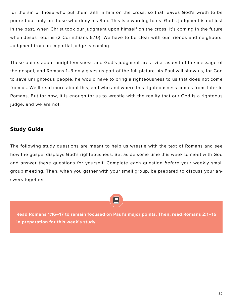for the sin of those who put their faith in him on the cross, so that leaves God's wrath to be poured out only on those who deny his Son. This is a warning to us. God's judgment is not just in the past, when Christ took our judgment upon himself on the cross; it's coming in the future when Jesus returns (2 Corinthians 5:10). We have to be clear with our friends and neighbors: Judgment from an impartial judge is coming.

These points about unrighteousness and God's judgment are a vital aspect of the message of the gospel, and Romans 1–3 only gives us part of the full picture. As Paul will show us, for God to save unrighteous people, he would have to bring a righteousness to us that does not come from us. We'll read more about this, and who and where this righteousness comes from, later in Romans. But for now, it is enough for us to wrestle with the reality that our God is a righteous judge, and we are not.

### Study Guide

The following study questions are meant to help us wrestle with the text of Romans and see how the gospel displays God's righteousness. Set aside some time this week to meet with God and answer these questions for yourself. Complete each question *before* your weekly small group meeting. Then, when you gather with your small group, be prepared to discuss your answers together.

**Read Romans 1:16–17 to remain focused on Paul's major points. Then, read Romans 2:1–16 in preparation for this week's study.**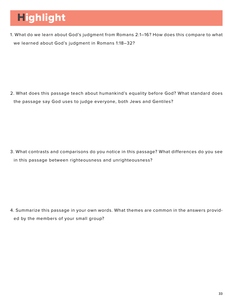### Highlight

1. What do we learn about God's judgment from Romans 2:1–16? How does this compare to what we learned about God's judgment in Romans 1:18–32?

2. What does this passage teach about humankind's equality before God? What standard does the passage say God uses to judge everyone, both Jews and Gentiles?

3. What contrasts and comparisons do you notice in this passage? What differences do you see in this passage between righteousness and unrighteousness?

4. Summarize this passage in your own words. What themes are common in the answers provided by the members of your small group?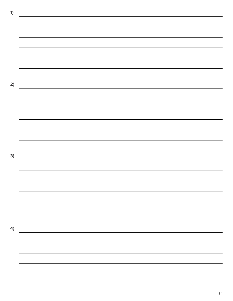**1) 2) 3)** <u> 1989 - Andrea Santa Andrea Andrea Andrea Andrea Andrea Andrea Andrea Andrea Andrea Andrea Andrea Andrea Andr</u> **4)**

34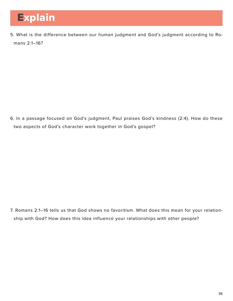5. What is the difference between our human judgment and God's judgment according to Romans 2:1–16?

6. In a passage focused on God's judgment, Paul praises God's kindness (2:4). How do these two aspects of God's character work together in God's gospel?

7. Romans 2:1–16 tells us that God shows no favoritism. What does this mean for your relationship with God? How does this idea influence your relationships with other people?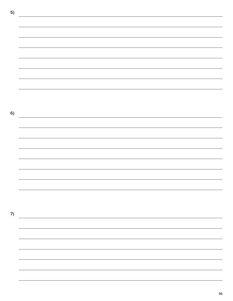**5) 6) 7)**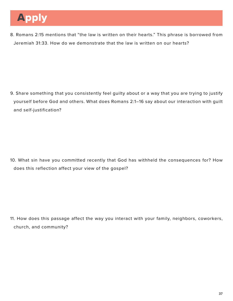8. Romans 2:15 mentions that "the law is written on their hearts." This phrase is borrowed from Jeremiah 31:33. How do we demonstrate that the law is written on our hearts?

9. Share something that you consistently feel guilty about or a way that you are trying to justify yourself before God and others. What does Romans 2:1–16 say about our interaction with guilt and self-justification?

10. What sin have you committed recently that God has withheld the consequences for? How does this reflection affect your view of the gospel?

11. How does this passage affect the way you interact with your family, neighbors, coworkers, church, and community?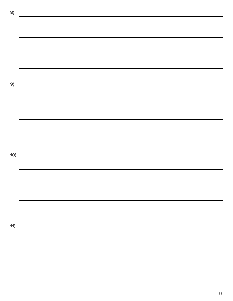**8) 9) 10)** <u> 1989 - Johann Stoff, deutscher Stoff, der Stoff, der Stoff, der Stoff, der Stoff, der Stoff, der Stoff, der S</u> **11)**

38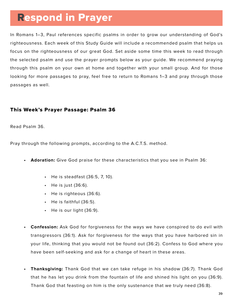# Respond in Prayer

In Romans 1–3, Paul references specific psalms in order to grow our understanding of God's righteousness. Each week of this Study Guide will include a recommended psalm that helps us focus on the righteousness of our great God. Set aside some time this week to read through the selected psalm and use the prayer prompts below as your guide. We recommend praying through this psalm on your own at home and together with your small group. And for those looking for more passages to pray, feel free to return to Romans 1–3 and pray through those passages as well.

## This Week's Prayer Passage: Psalm 36

Read Psalm 36.

Pray through the following prompts, according to the A.C.T.S. method.

- **• Adoration:** Give God praise for these characteristics that you see in Psalm 36:
	- He is steadfast (36:5, 7, 10).
	- He is just (36:6).
	- He is righteous (36:6).
	- He is faithful (36:5).
	- He is our light (36:9).
- **• Confession:** Ask God for forgiveness for the ways we have conspired to do evil with transgressors (36:1). Ask for forgiveness for the ways that you have harbored sin in your life, thinking that you would not be found out (36:2). Confess to God where you have been self-seeking and ask for a change of heart in these areas.
- **• Thanksgiving:** Thank God that we can take refuge in his shadow (36:7). Thank God that he has let you drink from the fountain of life and shined his light on you (36:9). Thank God that feasting on him is the only sustenance that we truly need (36:8).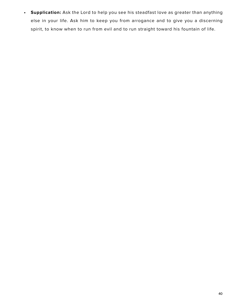**• Supplication:** Ask the Lord to help you see his steadfast love as greater than anything else in your life. Ask him to keep you from arrogance and to give you a discerning spirit, to know when to run from evil and to run straight toward his fountain of life.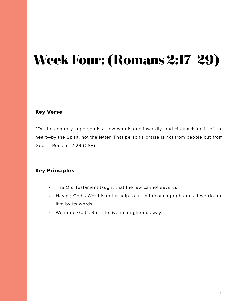# **Week Four: (Romans 2:17–29)**

## Key Verse

"On the contrary, a person is a Jew who is one inwardly, and circumcision is of the heart—by the Spirit, not the letter. That person's praise is not from people but from God." - Romans 2:29 (CSB)

## Key Principles

- The Old Testament taught that the law cannot save us.
- Having God's Word is not a help to us in becoming righteous if we do not live by its words.
- We need God's Spirit to live in a righteous way.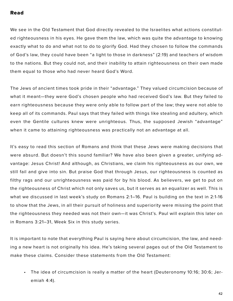### Read

We see in the Old Testament that God directly revealed to the Israelites what actions constituted righteousness in his eyes. He gave them the law, which was quite the advantage to knowing exactly what to do and what not to do to glorify God. Had they chosen to follow the commands of God's law, they could have been "a light to those in darkness" (2:19) and teachers of wisdom to the nations. But they could not, and their inability to attain righteousness on their own made them equal to those who had never heard God's Word.

The Jews of ancient times took pride in their "advantage." They valued circumcision because of what it meant—they were God's chosen people who had received God's law. But they failed to earn righteousness because they were only able to follow part of the law; they were not able to keep all of its commands. Paul says that they failed with things like stealing and adultery, which even the Gentile cultures knew were unrighteous. Thus, the supposed Jewish "advantage" when it came to attaining righteousness was practically not an advantage at all.

It's easy to read this section of Romans and think that these Jews were making decisions that were absurd. But doesn't this sound familiar? We have also been given a greater, unifying advantage: Jesus Christ! And although, as Christians, we claim his righteousness as our own, we still fail and give into sin. But praise God that through Jesus, our righteousness is counted as filthy rags and our unrighteousness was paid for by his blood. As believers, we get to put on the righteousness of Christ which not only saves us, but it serves as an equalizer as well. This is what we discussed in last week's study on Romans 2:1–16. Paul is building on the text in 2:1-16 to show that the Jews, in all their pursuit of holiness and superiority were missing the point that the righteousness they needed was not their own—it was Christ's. Paul will explain this later on in Romans 3:21–31, Week Six in this study series.

It is important to note that everything Paul is saying here about circumcision, the law, and needing a new heart is not originally his idea. He's taking several pages out of the Old Testament to make these claims. Consider these statements from the Old Testament:

• The idea of circumcision is really a matter of the heart (Deuteronomy 10:16; 30:6; Jeremiah 4:4).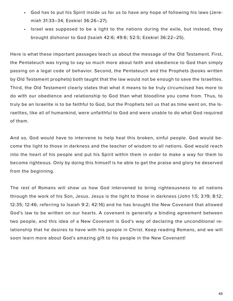- God has to put his Spirit inside us for us to have any hope of following his laws (Jeremiah 31:33–34; Ezekiel 36:26–27).
- Israel was supposed to be a light to the nations during the exile, but instead, they brought dishonor to God (Isaiah 42:6; 49:6; 52:5; Ezekiel 36:22–25).

Here is what these important passages teach us about the message of the Old Testament. First, the Pentateuch was trying to say so much more about faith and obedience to God than simply passing on a legal code of behavior. Second, the Pentateuch and the Prophets (books written by Old Testament prophets) both taught that the law would not be enough to save the Israelites. Third, the Old Testament clearly states that what it means to be truly circumcised has more to do with our obedience and relationship to God than what bloodline you come from. Thus, to truly be an Israelite is to be faithful to God, but the Prophets tell us that as time went on, the Israelites, like all of humankind, were unfaithful to God and were unable to do what God required of them.

And so, God would have to intervene to help heal this broken, sinful people. God would become the light to those in darkness and the teacher of wisdom to all nations. God would reach into the heart of his people and put his Spirit within them in order to make a way for them to become righteous. Only by doing this himself is he able to get the praise and glory he deserved from the beginning.

The rest of Romans will show us how God intervened to bring righteousness to all nations through the work of his Son, Jesus. Jesus is the light to those in darkness (John 1:5; 3:19; 8:12; 12:35; 12:46; referring to Isaiah 9:2; 42:16) and he has brought the New Covenant that allowed God's law to be written on our hearts. A covenant is generally a binding agreement between two people, and this idea of a New Covenant is God's way of declaring the unconditional relationship that he desires to have with his people in Christ. Keep reading Romans, and we will soon learn more about God's amazing gift to his people in the New Covenant!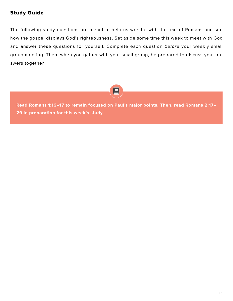## Study Guide

The following study questions are meant to help us wrestle with the text of Romans and see how the gospel displays God's righteousness. Set aside some time this week to meet with God and answer these questions for yourself. Complete each question *before* your weekly small group meeting. Then, when you gather with your small group, be prepared to discuss your answers together.



**Read Romans 1:16–17 to remain focused on Paul's major points. Then, read Romans 2:17– 29 in preparation for this week's study.**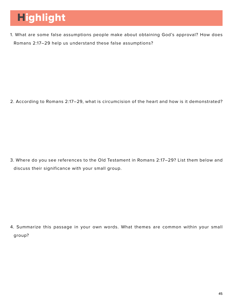# Highlight

1. What are some false assumptions people make about obtaining God's approval? How does Romans 2:17–29 help us understand these false assumptions?

2. According to Romans 2:17–29, what is circumcision of the heart and how is it demonstrated?

3. Where do you see references to the Old Testament in Romans 2:17–29? List them below and discuss their significance with your small group.

4. Summarize this passage in your own words. What themes are common within your small group?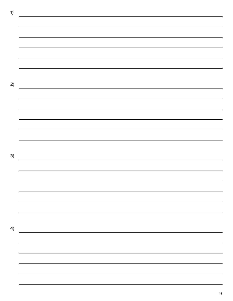**1) 2) 3) 4)**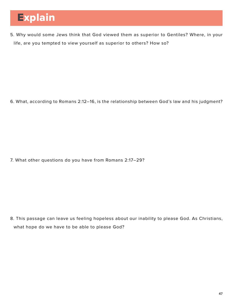# Explain

5. Why would some Jews think that God viewed them as superior to Gentiles? Where, in your life, are you tempted to view yourself as superior to others? How so?

6. What, according to Romans 2:12–16, is the relationship between God's law and his judgment?

7. What other questions do you have from Romans 2:17–29?

8. This passage can leave us feeling hopeless about our inability to please God. As Christians, what hope do we have to be able to please God?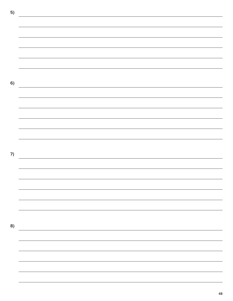**5) 6)** <u> 1989 - Andrea Santa Andrea Santa Andrea Santa Andrea Santa Andrea Santa Andrea Santa Andrea Santa Andrea San</u> **7) 8)**

48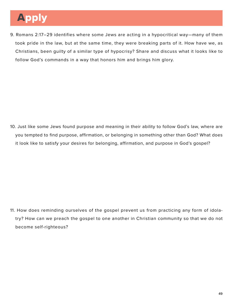# Apply

9. Romans 2:17–29 identifies where some Jews are acting in a hypocritical way—many of them took pride in the law, but at the same time, they were breaking parts of it. How have we, as Christians, been guilty of a similar type of hypocrisy? Share and discuss what it looks like to follow God's commands in a way that honors him and brings him glory.

10. Just like some Jews found purpose and meaning in their ability to follow God's law, where are you tempted to find purpose, affirmation, or belonging in something other than God? What does it look like to satisfy your desires for belonging, affirmation, and purpose in God's gospel?

11. How does reminding ourselves of the gospel prevent us from practicing any form of idolatry? How can we preach the gospel to one another in Christian community so that we do not become self-righteous?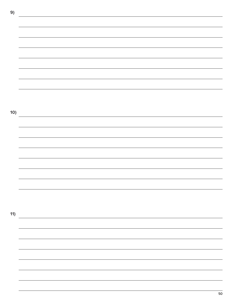**9) 10) 11)**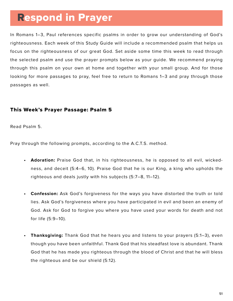# Respond in Prayer

In Romans 1–3, Paul references specific psalms in order to grow our understanding of God's righteousness. Each week of this Study Guide will include a recommended psalm that helps us focus on the righteousness of our great God. Set aside some time this week to read through the selected psalm and use the prayer prompts below as your guide. We recommend praying through this psalm on your own at home and together with your small group. And for those looking for more passages to pray, feel free to return to Romans 1–3 and pray through those passages as well.

## This Week's Prayer Passage: Psalm 5

Read Psalm 5.

Pray through the following prompts, according to the A.C.T.S. method.

- **• Adoration:** Praise God that, in his righteousness, he is opposed to all evil, wickedness, and deceit (5:4–6, 10). Praise God that he is our King, a king who upholds the righteous and deals justly with his subjects (5:7–8, 11–12).
- **• Confession:** Ask God's forgiveness for the ways you have distorted the truth or told lies. Ask God's forgiveness where you have participated in evil and been an enemy of God. Ask for God to forgive you where you have used your words for death and not for life (5:9–10).
- **• Thanksgiving:** Thank God that he hears you and listens to your prayers (5:1–3), even though you have been unfaithful. Thank God that his steadfast love is abundant. Thank God that he has made you righteous through the blood of Christ and that he will bless the righteous and be our shield (5:12).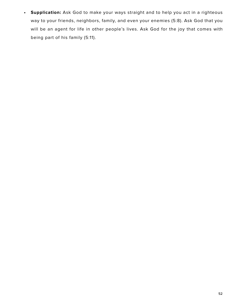**• Supplication:** Ask God to make your ways straight and to help you act in a righteous way to your friends, neighbors, family, and even your enemies (5:8). Ask God that you will be an agent for life in other people's lives. Ask God for the joy that comes with being part of his family (5:11).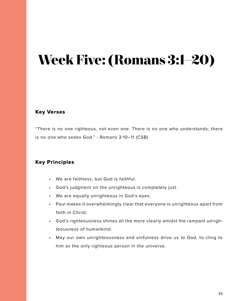# **Week Five: (Romans 3:1–20)**

## Key Verses

"There is no one righteous, not even one. There is no one who understands; there is no one who seeks God." - Romans 3:10–11 (CSB)

## Key Principles

- We are faithless, but God is faithful.
- God's judgment on the unrighteous is completely just.
- We are equally unrighteous in God's eyes.
- Paul makes it overwhelmingly clear that everyone is unrighteous apart from faith in Christ.
- God's righteousness shines all the more clearly amidst the rampant unrighteousness of humankind.
- May our own unrighteousness and sinfulness drive us to God, to cling to him as the only righteous person in the universe.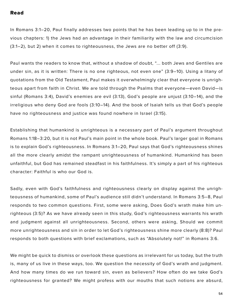#### Read

In Romans 3:1–20, Paul finally addresses two points that he has been leading up to in the previous chapters: 1) the Jews had an advantage in their familiarity with the law and circumcision (3:1–2), but 2) when it comes to righteousness, the Jews are no better off (3:9).

Paul wants the readers to know that, without a shadow of doubt, "... both Jews and Gentiles are under sin, as it is written: There is no one righteous, not even one" (3:9–10). Using a litany of quotations from the Old Testament, Paul makes it overwhelmingly clear that everyone is unrighteous apart from faith in Christ. We are told through the Psalms that everyone—even David—is sinful (Romans 3:4), David's enemies are evil (3:13), God's people are unjust (3:10–14), and the irreligious who deny God are fools (3:10–14). And the book of Isaiah tells us that God's people have no righteousness and justice was found nowhere in Israel (3:15).

Establishing that humankind is unrighteous is a necessary part of Paul's argument throughout Romans 1:18–3:20, but it is not Paul's main point in the whole book. Paul's larger goal in Romans is to explain God's righteousness. In Romans 3:1–20, Paul says that God's righteousness shines all the more clearly amidst the rampant unrighteousness of humankind. Humankind has been unfaithful, but God has remained steadfast in his faithfulness. It's simply a part of his righteous character: Faithful is who our God is.

Sadly, even with God's faithfulness and righteousness clearly on display against the unrighteousness of humankind, some of Paul's audience still didn't understand. In Romans 3:5–8, Paul responds to two common questions. First, some were asking, Does God's wrath make him unrighteous (3:5)? As we have already seen in this study, God's righteousness warrants his wrath and judgment against all unrighteousness. Second, others were asking, Should we commit more unrighteousness and sin in order to let God's righteousness shine more clearly (8:8)? Paul responds to both questions with brief exclamations, such as "Absolutely not!" in Romans 3:6.

We might be quick to dismiss or overlook these questions as irrelevant for us today, but the truth is, many of us live in these ways, too. We question the necessity of God's wrath and judgment. And how many times do we run toward sin, even as believers? How often do we take God's righteousness for granted? We might profess with our mouths that such notions are absurd,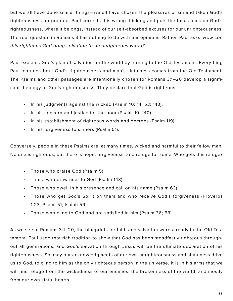but we all have done similar things—we all have chosen the pleasures of sin and taken God's righteousness for granted. Paul corrects this wrong thinking and puts the focus back on God's righteousness, where it belongs, instead of our self-absorbed excuses for our unrighteousness. The real question in Romans 3 has nothing to do with our opinions. Rather, Paul asks, *How can this righteous God bring salvation to an unrighteous world?*

Paul explains God's plan of salvation for the world by turning to the Old Testament. Everything Paul learned about God's righteousness and man's sinfulness comes from the Old Testament. The Psalms and other passages are intentionally chosen for Romans 3:1–20 develop a significant theology of God's righteousness. They declare that God is righteous:

- In his judgments against the wicked (Psalm 10; 14; 53; 143).
- In his concern and justice for the poor (Psalm 10; 140).
- In his establishment of righteous words and decrees (Psalm 119).
- In his forgiveness to sinners (Psalm 51).

Conversely, people in these Psalms are, at many times, wicked and harmful to their fellow man. No one is righteous, but there is hope, forgiveness, and refuge for some. Who gets this refuge?

- Those who praise God (Psalm 5).
- Those who draw near to God (Psalm 143).
- Those who dwell in his presence and call on his name (Psalm 63).
- Those who get God's Spirit on them and who receive God's forgiveness (Proverbs 1:23; Psalm 51; Isaiah 59).
- Those who cling to God and are satisfied in him (Psalm 36; 63).

As we see in Romans 3:1–20, the blueprints for faith and salvation were already in the Old Testament. Paul used that rich tradition to show that God has been steadfastly righteous throughout all generations, and God's salvation through Jesus will be the ultimate declaration of his righteousness. So, may our acknowledgments of our own unrighteousness and sinfulness drive us to God, to cling to him as the only righteous person in the universe. It is in his arms that we will find refuge from the wickedness of our enemies, the brokenness of the world, and mostly from our own sinful hearts.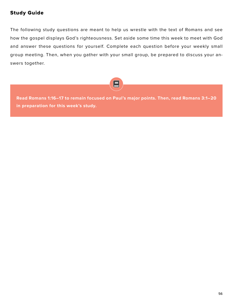## Study Guide

The following study questions are meant to help us wrestle with the text of Romans and see how the gospel displays God's righteousness. Set aside some time this week to meet with God and answer these questions for yourself. Complete each question before your weekly small group meeting. Then, when you gather with your small group, be prepared to discuss your answers together.



**Read Romans 1:16–17 to remain focused on Paul's major points. Then, read Romans 3:1–20 in preparation for this week's study.**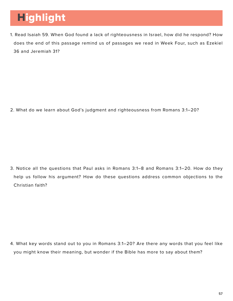# Highlight

1. Read Isaiah 59. When God found a lack of righteousness in Israel, how did he respond? How does the end of this passage remind us of passages we read in Week Four, such as Ezekiel 36 and Jeremiah 31?

2. What do we learn about God's judgment and righteousness from Romans 3:1–20?

3. Notice all the questions that Paul asks in Romans 3:1–8 and Romans 3:1–20. How do they help us follow his argument? How do these questions address common objections to the Christian faith?

4. What key words stand out to you in Romans 3:1–20? Are there any words that you feel like you might know their meaning, but wonder if the Bible has more to say about them?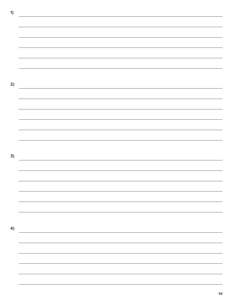**1) 2) 3) 4)**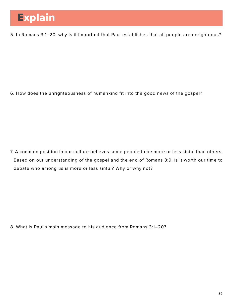5. In Romans 3:1–20, why is it important that Paul establishes that all people are unrighteous?

6. How does the unrighteousness of humankind fit into the good news of the gospel?

7. A common position in our culture believes some people to be more or less sinful than others. Based on our understanding of the gospel and the end of Romans 3:9, is it worth our time to debate who among us is more or less sinful? Why or why not?

8. What is Paul's main message to his audience from Romans 3:1–20?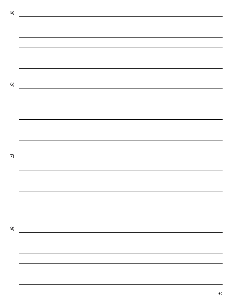**5) 6) 7)** <u> 1989 - Andrea Santa Andrea Andrea Andrea Andrea Andrea Andrea Andrea Andrea Andrea Andrea Andrea Andrea Andr</u> **8)**

60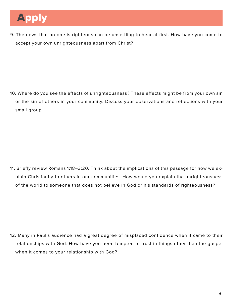9. The news that no one is righteous can be unsettling to hear at first. How have you come to accept your own unrighteousness apart from Christ?

10. Where do you see the effects of unrighteousness? These effects might be from your own sin or the sin of others in your community. Discuss your observations and reflections with your small group.

11. Briefly review Romans 1:18–3:20. Think about the implications of this passage for how we explain Christianity to others in our communities. How would you explain the unrighteousness of the world to someone that does not believe in God or his standards of righteousness?

12. Many in Paul's audience had a great degree of misplaced confidence when it came to their relationships with God. How have you been tempted to trust in things other than the gospel when it comes to your relationship with God?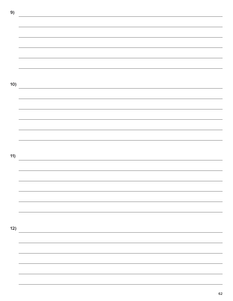**9) 10) 11) 12)**

62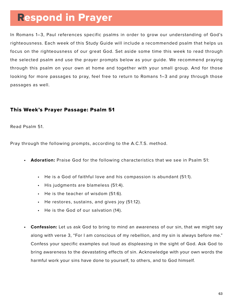# Respond in Prayer

In Romans 1–3, Paul references specific psalms in order to grow our understanding of God's righteousness. Each week of this Study Guide will include a recommended psalm that helps us focus on the righteousness of our great God. Set aside some time this week to read through the selected psalm and use the prayer prompts below as your guide. We recommend praying through this psalm on your own at home and together with your small group. And for those looking for more passages to pray, feel free to return to Romans 1–3 and pray through those passages as well.

## This Week's Prayer Passage: Psalm 51

Read Psalm 51.

Pray through the following prompts, according to the A.C.T.S. method.

- **• Adoration:** Praise God for the following characteristics that we see in Psalm 51:
	- He is a God of faithful love and his compassion is abundant (51:1).
	- His judgments are blameless (51:4).
	- He is the teacher of wisdom (51:6).
	- He restores, sustains, and gives joy (51:12).
	- He is the God of our salvation (14).
- **• Confession:** Let us ask God to bring to mind an awareness of our sin, that we might say along with verse 3, "For I am conscious of my rebellion, and my sin is always before me." Confess your specific examples out loud as displeasing in the sight of God. Ask God to bring awareness to the devastating effects of sin. Acknowledge with your own words the harmful work your sins have done to yourself, to others, and to God himself.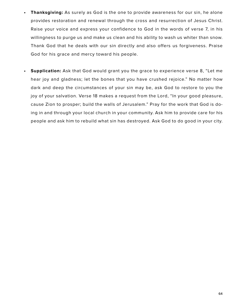- **• Thanksgiving:** As surely as God is the one to provide awareness for our sin, he alone provides restoration and renewal through the cross and resurrection of Jesus Christ. Raise your voice and express your confidence to God in the words of verse 7, in his willingness to purge us and make us clean and his ability to wash us whiter than snow. Thank God that he deals with our sin directly and also offers us forgiveness. Praise God for his grace and mercy toward his people.
- **• Supplication:** Ask that God would grant you the grace to experience verse 8, "Let me hear joy and gladness; let the bones that you have crushed rejoice." No matter how dark and deep the circumstances of your sin may be, ask God to restore to you the joy of your salvation. Verse 18 makes a request from the Lord, "In your good pleasure, cause Zion to prosper; build the walls of Jerusalem." Pray for the work that God is doing in and through your local church in your community. Ask him to provide care for his people and ask him to rebuild what sin has destroyed. Ask God to do good in your city.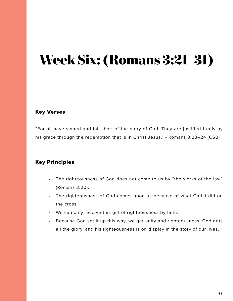# **Week Six: (Romans 3:21–31)**

## Key Verses

"For all have sinned and fall short of the glory of God. They are justified freely by his grace through the redemption that is in Christ Jesus." - Romans 3:23–24 (CSB)

## Key Principles

- The righteousness of God does not come to us by "the works of the law" (Romans 3:20).
- The righteousness of God comes upon us because of what Christ did on the cross.
- We can only receive this gift of righteousness by faith.
- Because God set it up this way, we get unity and righteousness, God gets all the glory, and his righteousness is on display in the story of our lives.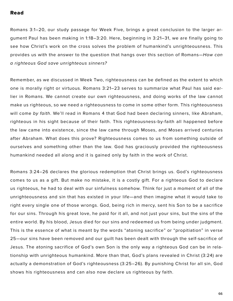#### Read

Romans 3:1–20, our study passage for Week Five, brings a great conclusion to the larger argument Paul has been making in 1:18–3:20. Here, beginning in 3:21–31, we are finally going to see how Christ's work on the cross solves the problem of humankind's unrighteousness. This provides us with the answer to the question that hangs over this section of Romans—*How can a righteous God save unrighteous sinners?*

Remember, as we discussed in Week Two, righteousness can be defined as the extent to which one is morally right or virtuous. Romans 3:21–23 serves to summarize what Paul has said earlier in Romans. We cannot create our own righteousness, and doing works of the law cannot make us righteous, so we need a righteousness to come in some other form. This righteousness will come *by faith*. We'll read in Romans 4 that God had been declaring sinners, like Abraham, righteous in his sight because of their faith. This righteousness-by-faith all happened before the law came into existence, since the law came through Moses, and Moses arrived centuries after Abraham. What does this prove? Righteousness comes to us from something outside of ourselves and something other than the law. God has graciously provided the righteousness humankind needed all along and it is gained only by faith in the work of Christ.

Romans 3:24–26 declares the glorious redemption that Christ brings us. God's righteousness comes to us as a gift. But make no mistake, it is a costly gift. For a righteous God to declare us righteous, he had to deal with our sinfulness somehow. Think for just a moment of all of the unrighteousness and sin that has existed in your life—and then imagine what it would take to right every single one of those wrongs. God, being rich in mercy, sent his Son to be a sacrifice for our sins. Through his great love, he paid for it all, and not just your sins, but the sins of the entire world. By his blood, Jesus died for our sins and redeemed us from being under judgment. This is the essence of what is meant by the words "atoning sacrifice" or "propitiation" in verse 25—our sins have been removed and our guilt has been dealt with through the self-sacrifice of Jesus. The atoning sacrifice of God's own Son is the only way a righteous God can be in relationship with unrighteous humankind. More than that, God's plans revealed in Christ (3:24) are actually a demonstration of God's righteousness (3:25–26). By punishing Christ for all sin, God shows his righteousness and can also now declare us righteous by faith.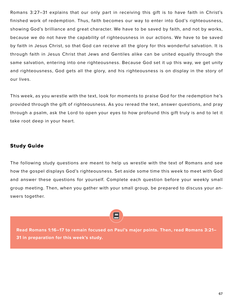Romans 3:27–31 explains that our only part in receiving this gift is to have faith in Christ's finished work of redemption. Thus, faith becomes our way to enter into God's righteousness, showing God's brilliance and great character. We have to be saved by faith, and not by works, because we do not have the capability of righteousness in our actions. We have to be saved by faith in Jesus Christ, so that God can receive all the glory for this wonderful salvation. It is through faith in Jesus Christ that Jews and Gentiles alike can be united equally through the same salvation, entering into one righteousness. Because God set it up this way, we get unity and righteousness, God gets all the glory, and his righteousness is on display in the story of our lives.

This week, as you wrestle with the text, look for moments to praise God for the redemption he's provided through the gift of righteousness. As you reread the text, answer questions, and pray through a psalm, ask the Lord to open your eyes to how profound this gift truly is and to let it take root deep in your heart.

## Study Guide

The following study questions are meant to help us wrestle with the text of Romans and see how the gospel displays God's righteousness. Set aside some time this week to meet with God and answer these questions for yourself. Complete each question before your weekly small group meeting. Then, when you gather with your small group, be prepared to discuss your answers together.

**Read Romans 1:16–17 to remain focused on Paul's major points. Then, read Romans 3:21– 31 in preparation for this week's study.**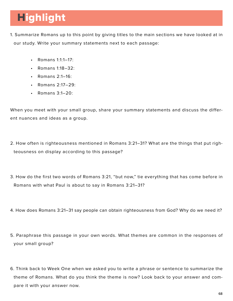# **Highlight**

- 1. Summarize Romans up to this point by giving titles to the main sections we have looked at in our study. Write your summary statements next to each passage:
	- Romans 1:1:1–17:
	- Romans 1:18–32:
	- Romans 2:1–16:
	- Romans 2:17–29:
	- Romans  $3:1-20$ :

When you meet with your small group, share your summary statements and discuss the different nuances and ideas as a group.

- 2. How often is righteousness mentioned in Romans 3:21–31? What are the things that put righteousness on display according to this passage?
- 3. How do the first two words of Romans 3:21, "but now," tie everything that has come before in Romans with what Paul is about to say in Romans 3:21–31?
- 4. How does Romans 3:21–31 say people can obtain righteousness from God? Why do we need it?
- 5. Paraphrase this passage in your own words. What themes are common in the responses of your small group?
- 6. Think back to Week One when we asked you to write a phrase or sentence to summarize the theme of Romans. What do you think the theme is now? Look back to your answer and compare it with your answer now.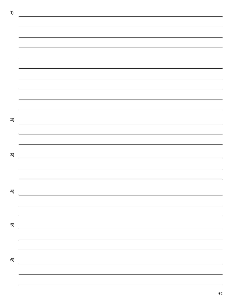| 1) |                                       |
|----|---------------------------------------|
|    |                                       |
|    |                                       |
|    |                                       |
|    |                                       |
|    |                                       |
|    |                                       |
|    |                                       |
|    |                                       |
|    |                                       |
|    |                                       |
|    |                                       |
|    |                                       |
|    |                                       |
|    |                                       |
| 2) |                                       |
|    |                                       |
|    |                                       |
|    |                                       |
|    |                                       |
| 3) |                                       |
|    |                                       |
|    |                                       |
|    |                                       |
|    |                                       |
| 4) |                                       |
|    |                                       |
|    |                                       |
|    |                                       |
|    |                                       |
| 5) |                                       |
|    |                                       |
|    |                                       |
|    |                                       |
|    |                                       |
| 6) |                                       |
|    |                                       |
|    | <u> 1990 - Jan Barnett, politik e</u> |

69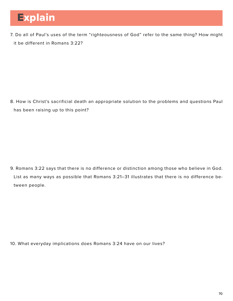# Explain

7. Do all of Paul's uses of the term "righteousness of God" refer to the same thing? How might it be different in Romans 3:22?

8. How is Christ's sacrificial death an appropriate solution to the problems and questions Paul has been raising up to this point?

9. Romans 3:22 says that there is no difference or distinction among those who believe in God. List as many ways as possible that Romans 3:21–31 illustrates that there is no difference between people.

10. What everyday implications does Romans 3:24 have on our lives?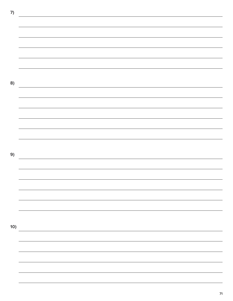**7) 8)** <u> 1989 - Andrea Station Barbara, actor a component de la componentación de la componentación de la componentaci</u> **9) 10)**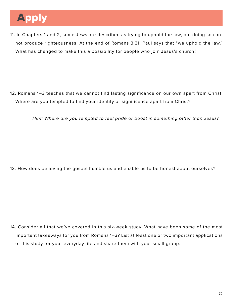# Apply

11. In Chapters 1 and 2, some Jews are described as trying to uphold the law, but doing so cannot produce righteousness. At the end of Romans 3:31, Paul says that "we uphold the law." What has changed to make this a possibility for people who join Jesus's church?

12. Romans 1–3 teaches that we cannot find lasting significance on our own apart from Christ. Where are you tempted to find your identity or significance apart from Christ?

*Hint: Where are you tempted to feel pride or boast in something other than Jesus?* 

13. How does believing the gospel humble us and enable us to be honest about ourselves?

14. Consider all that we've covered in this six-week study. What have been some of the most important takeaways for you from Romans 1–3? List at least one or two important applications of this study for your everyday life and share them with your small group.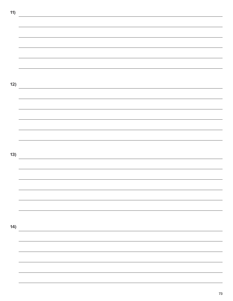**11) 12) 13) 14)**

73